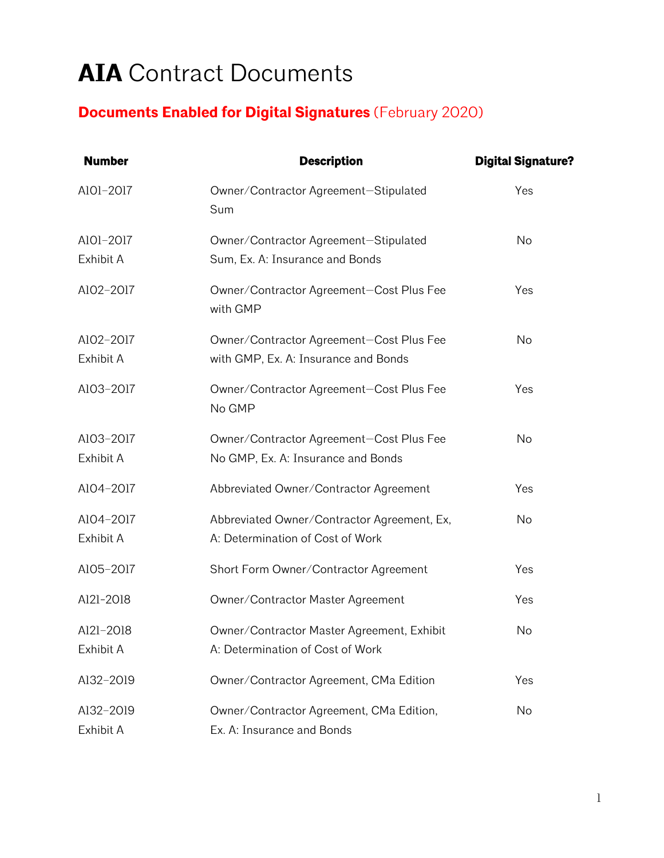## **AIA** Contract Documents

## **Documents Enabled for Digital Signatures** (February 2020)

| <b>Number</b>          | <b>Description</b>                                                               | <b>Digital Signature?</b> |
|------------------------|----------------------------------------------------------------------------------|---------------------------|
| A101-2017              | Owner/Contractor Agreement-Stipulated<br>Sum                                     | Yes                       |
| A101-2017<br>Exhibit A | Owner/Contractor Agreement-Stipulated<br>Sum, Ex. A: Insurance and Bonds         | <b>No</b>                 |
| AlO2-2017              | Owner/Contractor Agreement-Cost Plus Fee<br>with GMP                             | Yes                       |
| A102-2017<br>Exhibit A | Owner/Contractor Agreement-Cost Plus Fee<br>with GMP, Ex. A: Insurance and Bonds | No                        |
| A103-2017              | Owner/Contractor Agreement-Cost Plus Fee<br>No GMP                               | Yes                       |
| A103-2017<br>Exhibit A | Owner/Contractor Agreement-Cost Plus Fee<br>No GMP, Ex. A: Insurance and Bonds   | No                        |
| A104-2017              | Abbreviated Owner/Contractor Agreement                                           | Yes                       |
| A104-2017<br>Exhibit A | Abbreviated Owner/Contractor Agreement, Ex,<br>A: Determination of Cost of Work  | No                        |
| A105-2017              | Short Form Owner/Contractor Agreement                                            | Yes                       |
| Al2l-2018              | Owner/Contractor Master Agreement                                                | Yes                       |
| Al2l-2018<br>Exhibit A | Owner/Contractor Master Agreement, Exhibit<br>A: Determination of Cost of Work   | No                        |
| Al32-2019              | Owner/Contractor Agreement, CMa Edition                                          | Yes                       |
| A132-2019<br>Exhibit A | Owner/Contractor Agreement, CMa Edition,<br>Ex. A: Insurance and Bonds           | No                        |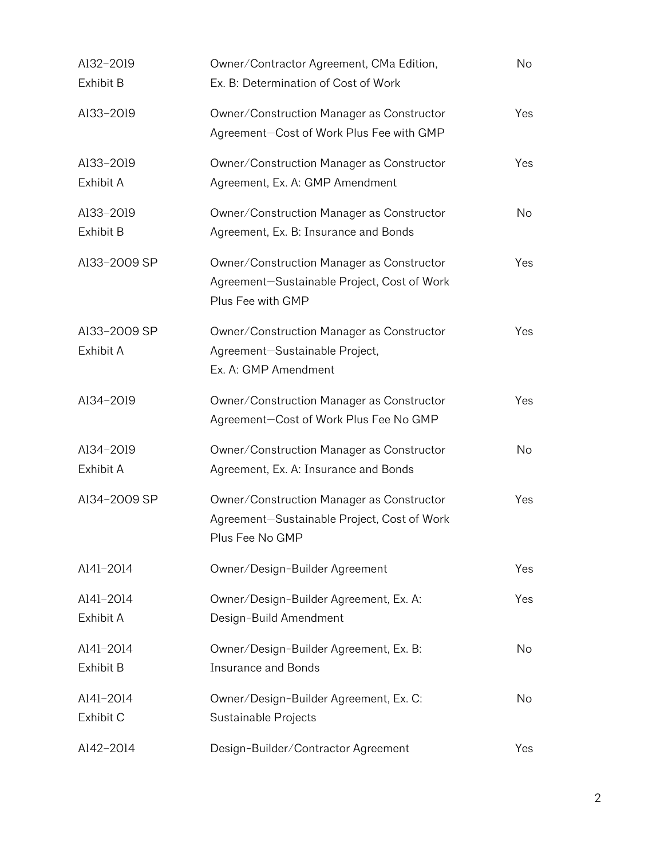| A132-2019<br>Exhibit B    | Owner/Contractor Agreement, CMa Edition,<br>Ex. B: Determination of Cost of Work                              | <b>No</b> |
|---------------------------|---------------------------------------------------------------------------------------------------------------|-----------|
| A133-2019                 | Owner/Construction Manager as Constructor<br>Agreement-Cost of Work Plus Fee with GMP                         | Yes       |
| Al33-2019<br>Exhibit A    | Owner/Construction Manager as Constructor<br>Agreement, Ex. A: GMP Amendment                                  | Yes       |
| A133-2019<br>Exhibit B    | Owner/Construction Manager as Constructor<br>Agreement, Ex. B: Insurance and Bonds                            | <b>No</b> |
| A133-2009 SP              | Owner/Construction Manager as Constructor<br>Agreement-Sustainable Project, Cost of Work<br>Plus Fee with GMP | Yes       |
| A133-2009 SP<br>Exhibit A | Owner/Construction Manager as Constructor<br>Agreement-Sustainable Project,<br>Ex. A: GMP Amendment           | Yes       |
| A134-2019                 | Owner/Construction Manager as Constructor<br>Agreement-Cost of Work Plus Fee No GMP                           | Yes       |
| A134-2019<br>Exhibit A    | Owner/Construction Manager as Constructor<br>Agreement, Ex. A: Insurance and Bonds                            | <b>No</b> |
| A134-2009 SP              | Owner/Construction Manager as Constructor<br>Agreement-Sustainable Project, Cost of Work<br>Plus Fee No GMP   | Yes       |
| Al4l-2014                 | Owner/Design-Builder Agreement                                                                                | Yes       |
| A141-2014<br>Exhibit A    | Owner/Design-Builder Agreement, Ex. A:<br>Design-Build Amendment                                              | Yes       |
| A141-2014<br>Exhibit B    | Owner/Design-Builder Agreement, Ex. B:<br><b>Insurance and Bonds</b>                                          | No        |
| A141-2014<br>Exhibit C    | Owner/Design-Builder Agreement, Ex. C:<br>Sustainable Projects                                                | No        |
| Al42-2014                 | Design-Builder/Contractor Agreement                                                                           | Yes       |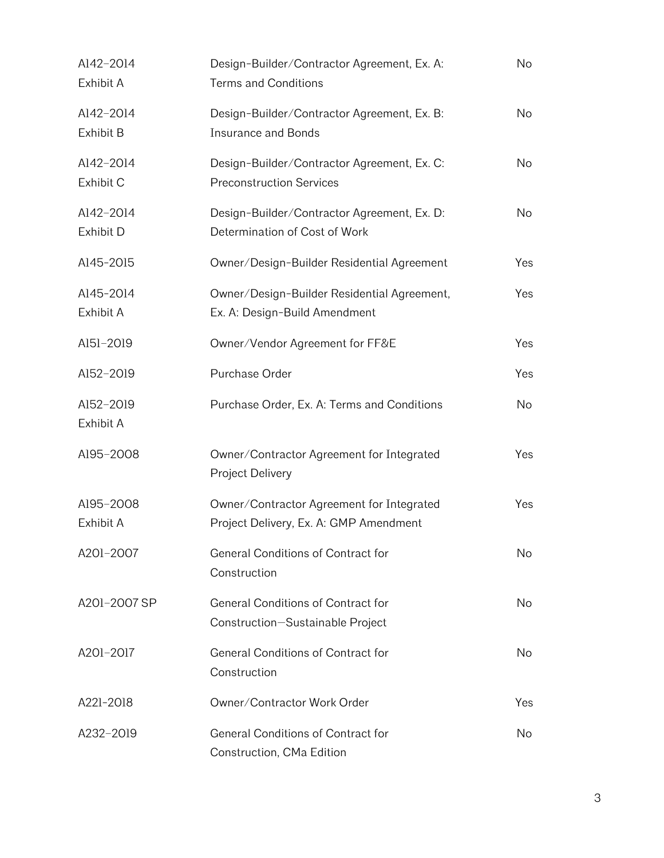| Al42-2014<br>Exhibit A | Design-Builder/Contractor Agreement, Ex. A:<br><b>Terms and Conditions</b>          | No        |
|------------------------|-------------------------------------------------------------------------------------|-----------|
| Al42-2014<br>Exhibit B | Design-Builder/Contractor Agreement, Ex. B:<br><b>Insurance and Bonds</b>           | <b>No</b> |
| Al42-2014<br>Exhibit C | Design-Builder/Contractor Agreement, Ex. C:<br><b>Preconstruction Services</b>      | No        |
| Al42-2014<br>Exhibit D | Design-Builder/Contractor Agreement, Ex. D:<br>Determination of Cost of Work        | No        |
| A145-2015              | Owner/Design-Builder Residential Agreement                                          | Yes       |
| Al45-2014<br>Exhibit A | Owner/Design-Builder Residential Agreement,<br>Ex. A: Design-Build Amendment        | Yes       |
| A151-2019              | Owner/Vendor Agreement for FF&E                                                     | Yes       |
| A152-2019              | Purchase Order                                                                      | Yes       |
| A152-2019<br>Exhibit A | Purchase Order, Ex. A: Terms and Conditions                                         | No        |
| A195-2008              | Owner/Contractor Agreement for Integrated<br>Project Delivery                       | Yes       |
| A195-2008<br>Exhibit A | Owner/Contractor Agreement for Integrated<br>Project Delivery, Ex. A: GMP Amendment | Yes       |
| A201-2007              | General Conditions of Contract for<br>Construction                                  | No        |
| A201-2007 SP           | General Conditions of Contract for<br>Construction-Sustainable Project              | No        |
| A201-2017              | General Conditions of Contract for<br>Construction                                  | No        |
| A221-2018              | Owner/Contractor Work Order                                                         | Yes       |
| A232-2019              | General Conditions of Contract for<br>Construction, CMa Edition                     | No        |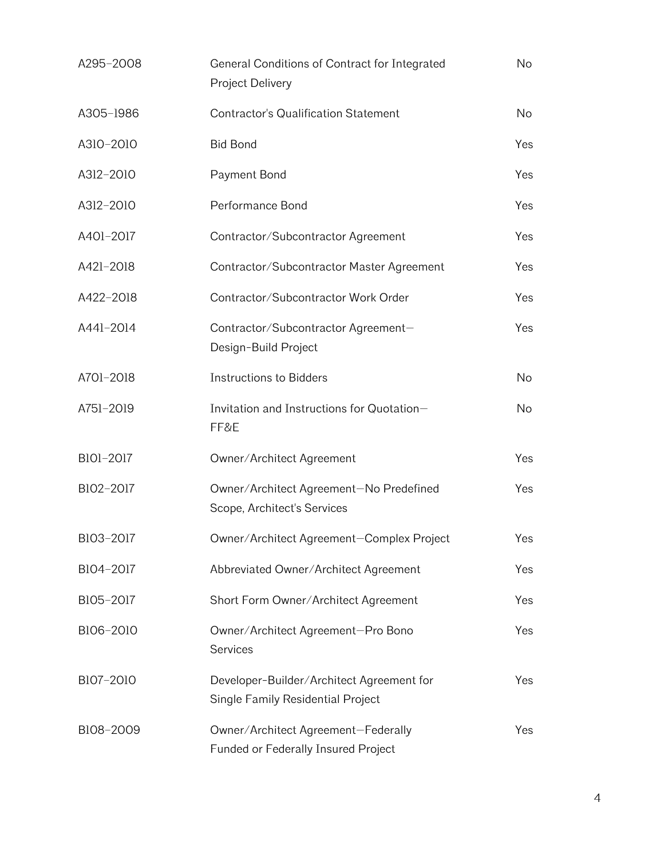| A295-2008 | General Conditions of Contract for Integrated<br>Project Delivery              | No        |
|-----------|--------------------------------------------------------------------------------|-----------|
| A305-1986 | <b>Contractor's Qualification Statement</b>                                    | No        |
| A310-2010 | <b>Bid Bond</b>                                                                | Yes       |
| A312-2010 | Payment Bond                                                                   | Yes       |
| A312-2010 | Performance Bond                                                               | Yes       |
| A401-2017 | Contractor/Subcontractor Agreement                                             | Yes       |
| A421-2018 | Contractor/Subcontractor Master Agreement                                      | Yes       |
| A422-2018 | Contractor/Subcontractor Work Order                                            | Yes       |
| A441-2014 | Contractor/Subcontractor Agreement-<br>Design-Build Project                    | Yes       |
| A701-2018 | <b>Instructions to Bidders</b>                                                 | <b>No</b> |
| A751-2019 | Invitation and Instructions for Quotation-<br>FF&E                             | <b>No</b> |
| B101-2017 | Owner/Architect Agreement                                                      | Yes       |
| B102-2017 | Owner/Architect Agreement-No Predefined<br>Scope, Architect's Services         | Yes       |
| B103-2017 | Owner/Architect Agreement-Complex Project                                      | Yes       |
| B104-2017 | Abbreviated Owner/Architect Agreement                                          | Yes       |
| B105-2017 | Short Form Owner/Architect Agreement                                           | Yes       |
| B106-2010 | Owner/Architect Agreement-Pro Bono<br>Services                                 | Yes       |
| B107-2010 | Developer-Builder/Architect Agreement for<br>Single Family Residential Project | Yes       |
| B108-2009 | Owner/Architect Agreement-Federally<br>Funded or Federally Insured Project     | Yes       |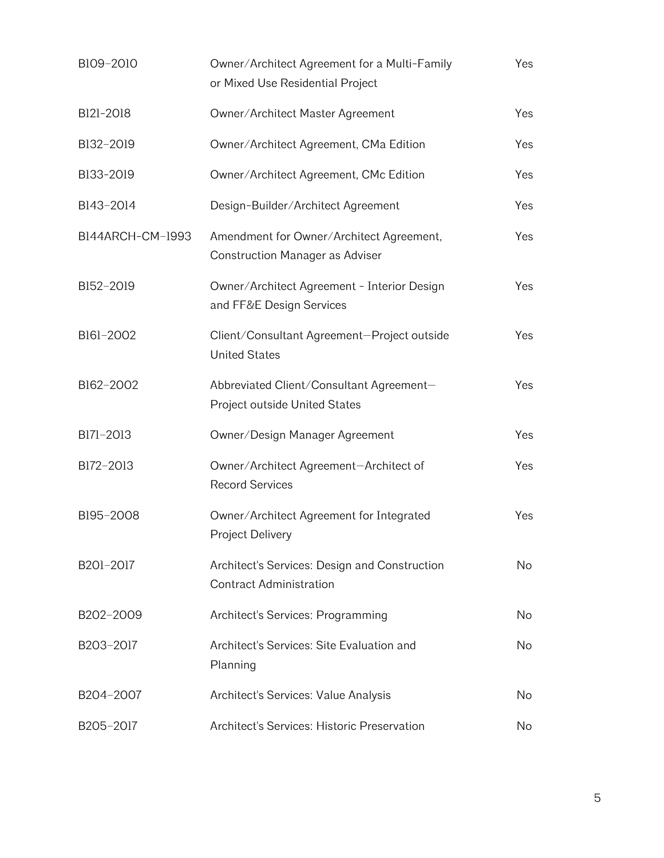| B109-2010        | Owner/Architect Agreement for a Multi-Family<br>or Mixed Use Residential Project   | Yes |
|------------------|------------------------------------------------------------------------------------|-----|
| B121-2018        | Owner/Architect Master Agreement                                                   | Yes |
| B132-2019        | Owner/Architect Agreement, CMa Edition                                             | Yes |
| B133-2019        | Owner/Architect Agreement, CMc Edition                                             | Yes |
| B143-2014        | Design-Builder/Architect Agreement                                                 | Yes |
| B144ARCH-CM-1993 | Amendment for Owner/Architect Agreement,<br><b>Construction Manager as Adviser</b> | Yes |
| B152-2019        | Owner/Architect Agreement - Interior Design<br>and FF&E Design Services            | Yes |
| B161-2002        | Client/Consultant Agreement-Project outside<br><b>United States</b>                | Yes |
| B162-2002        | Abbreviated Client/Consultant Agreement-<br>Project outside United States          | Yes |
| B171-2013        | Owner/Design Manager Agreement                                                     | Yes |
| B172-2013        | Owner/Architect Agreement-Architect of<br><b>Record Services</b>                   | Yes |
| B195-2008        | Owner/Architect Agreement for Integrated<br>Project Delivery                       | Yes |
| B201-2017        | Architect's Services: Design and Construction<br><b>Contract Administration</b>    | No  |
| B202-2009        | Architect's Services: Programming                                                  | No  |
| B203-2017        | Architect's Services: Site Evaluation and<br>Planning                              | No  |
| B204-2007        | Architect's Services: Value Analysis                                               | No  |
| B205-2017        | Architect's Services: Historic Preservation                                        | No  |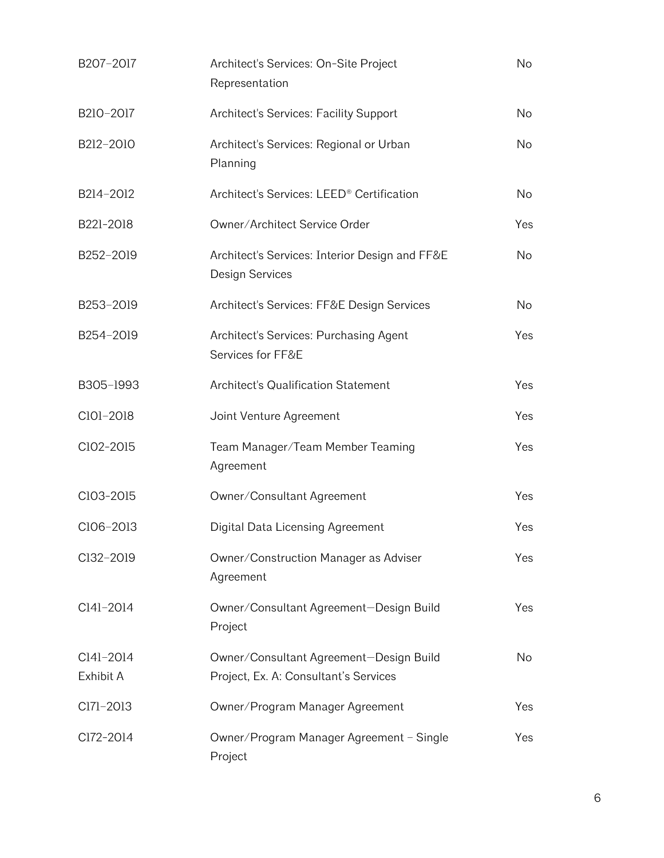| B207-2017              | Architect's Services: On-Site Project<br>Representation                          | No        |
|------------------------|----------------------------------------------------------------------------------|-----------|
| B210-2017              | Architect's Services: Facility Support                                           | No        |
| B212-2010              | Architect's Services: Regional or Urban<br>Planning                              | No.       |
| B214-2012              | Architect's Services: LEED <sup>®</sup> Certification                            | <b>No</b> |
| B221-2018              | Owner/Architect Service Order                                                    | Yes       |
| B252-2019              | Architect's Services: Interior Design and FF&E<br><b>Design Services</b>         | <b>No</b> |
| B253-2019              | Architect's Services: FF&E Design Services                                       | No        |
| B254-2019              | Architect's Services: Purchasing Agent<br>Services for FF&E                      | Yes       |
| B305-1993              | Architect's Qualification Statement                                              | Yes       |
| C101-2018              | Joint Venture Agreement                                                          | Yes       |
| ClO2-2015              | Team Manager/Team Member Teaming<br>Agreement                                    | Yes       |
| C103-2015              | Owner/Consultant Agreement                                                       | Yes       |
| C106-2013              | Digital Data Licensing Agreement                                                 | Yes       |
| Cl32-2019              | Owner/Construction Manager as Adviser<br>Agreement                               | Yes       |
| Cl4l-2014              | Owner/Consultant Agreement-Design Build<br>Project                               | Yes       |
| Cl4l-2014<br>Exhibit A | Owner/Consultant Agreement-Design Build<br>Project, Ex. A: Consultant's Services | No.       |
| C171-2013              | Owner/Program Manager Agreement                                                  | Yes       |
| Cl72-2014              | Owner/Program Manager Agreement - Single<br>Project                              | Yes       |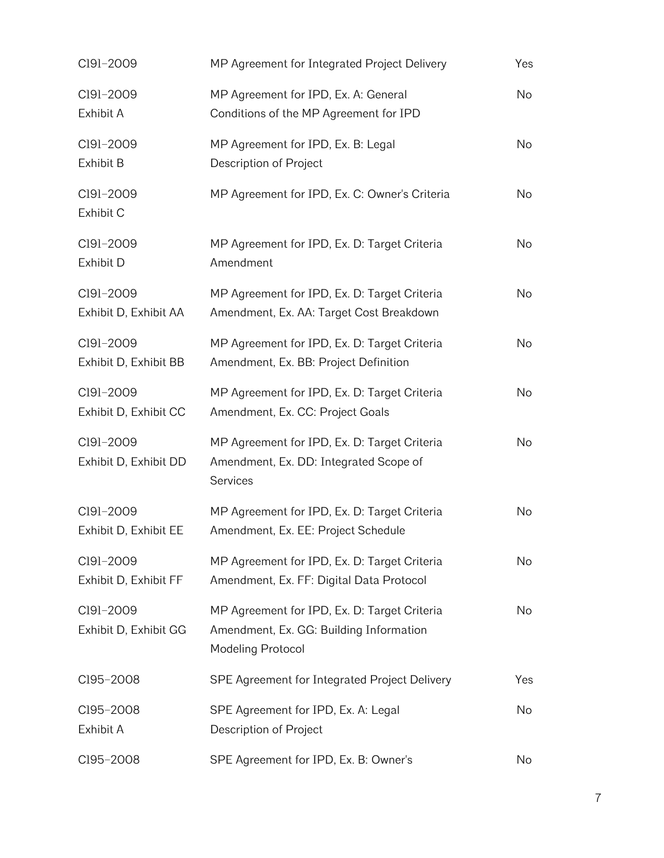| C191-2009                          | MP Agreement for Integrated Project Delivery                                                                 | Yes       |
|------------------------------------|--------------------------------------------------------------------------------------------------------------|-----------|
| C191-2009<br>Exhibit A             | MP Agreement for IPD, Ex. A: General<br>Conditions of the MP Agreement for IPD                               | No        |
| C191-2009<br>Exhibit B             | MP Agreement for IPD, Ex. B: Legal<br>Description of Project                                                 | No        |
| C191-2009<br>Exhibit C             | MP Agreement for IPD, Ex. C: Owner's Criteria                                                                | No        |
| C191-2009<br>Exhibit D             | MP Agreement for IPD, Ex. D: Target Criteria<br>Amendment                                                    | No        |
| C191-2009<br>Exhibit D, Exhibit AA | MP Agreement for IPD, Ex. D: Target Criteria<br>Amendment, Ex. AA: Target Cost Breakdown                     | No        |
| C191-2009<br>Exhibit D, Exhibit BB | MP Agreement for IPD, Ex. D: Target Criteria<br>Amendment, Ex. BB: Project Definition                        | No        |
| C191-2009<br>Exhibit D, Exhibit CC | MP Agreement for IPD, Ex. D: Target Criteria<br>Amendment, Ex. CC: Project Goals                             | No        |
| C191-2009<br>Exhibit D, Exhibit DD | MP Agreement for IPD, Ex. D: Target Criteria<br>Amendment, Ex. DD: Integrated Scope of<br>Services           | <b>No</b> |
| C191-2009<br>Exhibit D, Exhibit EE | MP Agreement for IPD, Ex. D: Target Criteria<br>Amendment, Ex. EE: Project Schedule                          | No        |
| C191-2009<br>Exhibit D, Exhibit FF | MP Agreement for IPD, Ex. D: Target Criteria<br>Amendment, Ex. FF: Digital Data Protocol                     | No        |
| C191-2009<br>Exhibit D, Exhibit GG | MP Agreement for IPD, Ex. D: Target Criteria<br>Amendment, Ex. GG: Building Information<br>Modeling Protocol | No        |
| C195-2008                          | SPE Agreement for Integrated Project Delivery                                                                | Yes       |
| C195-2008<br>Exhibit A             | SPE Agreement for IPD, Ex. A: Legal<br>Description of Project                                                | No        |
| C195-2008                          | SPE Agreement for IPD, Ex. B: Owner's                                                                        | No        |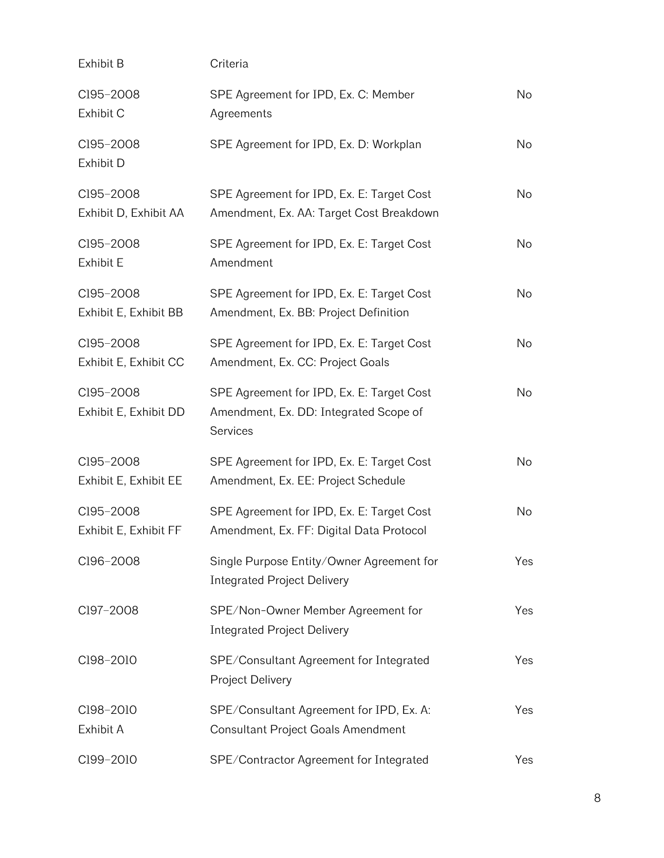| Exhibit B                          | Criteria                                                                                        |           |
|------------------------------------|-------------------------------------------------------------------------------------------------|-----------|
| C195-2008<br>Exhibit C             | SPE Agreement for IPD, Ex. C: Member<br>Agreements                                              | No        |
| C195-2008<br>Exhibit D             | SPE Agreement for IPD, Ex. D: Workplan                                                          | <b>No</b> |
| Cl95-2008<br>Exhibit D, Exhibit AA | SPE Agreement for IPD, Ex. E: Target Cost<br>Amendment, Ex. AA: Target Cost Breakdown           | No        |
| C195-2008<br>Exhibit E             | SPE Agreement for IPD, Ex. E: Target Cost<br>Amendment                                          | No        |
| C195-2008<br>Exhibit E, Exhibit BB | SPE Agreement for IPD, Ex. E: Target Cost<br>Amendment, Ex. BB: Project Definition              | No        |
| C195-2008<br>Exhibit E, Exhibit CC | SPE Agreement for IPD, Ex. E: Target Cost<br>Amendment, Ex. CC: Project Goals                   | No        |
| C195-2008<br>Exhibit E, Exhibit DD | SPE Agreement for IPD, Ex. E: Target Cost<br>Amendment, Ex. DD: Integrated Scope of<br>Services | <b>No</b> |
| C195-2008<br>Exhibit E, Exhibit EE | SPE Agreement for IPD, Ex. E: Target Cost<br>Amendment, Ex. EE: Project Schedule                | No        |
| C195-2008<br>Exhibit E, Exhibit FF | SPE Agreement for IPD, Ex. E: Target Cost<br>Amendment, Ex. FF: Digital Data Protocol           | No        |
| C196-2008                          | Single Purpose Entity/Owner Agreement for<br><b>Integrated Project Delivery</b>                 | Yes       |
| C197-2008                          | SPE/Non-Owner Member Agreement for<br><b>Integrated Project Delivery</b>                        | Yes       |
| C198-2010                          | SPE/Consultant Agreement for Integrated<br>Project Delivery                                     | Yes       |
| C198-2010<br>Exhibit A             | SPE/Consultant Agreement for IPD, Ex. A:<br>Consultant Project Goals Amendment                  | Yes       |
| C199-2010                          | SPE/Contractor Agreement for Integrated                                                         | Yes       |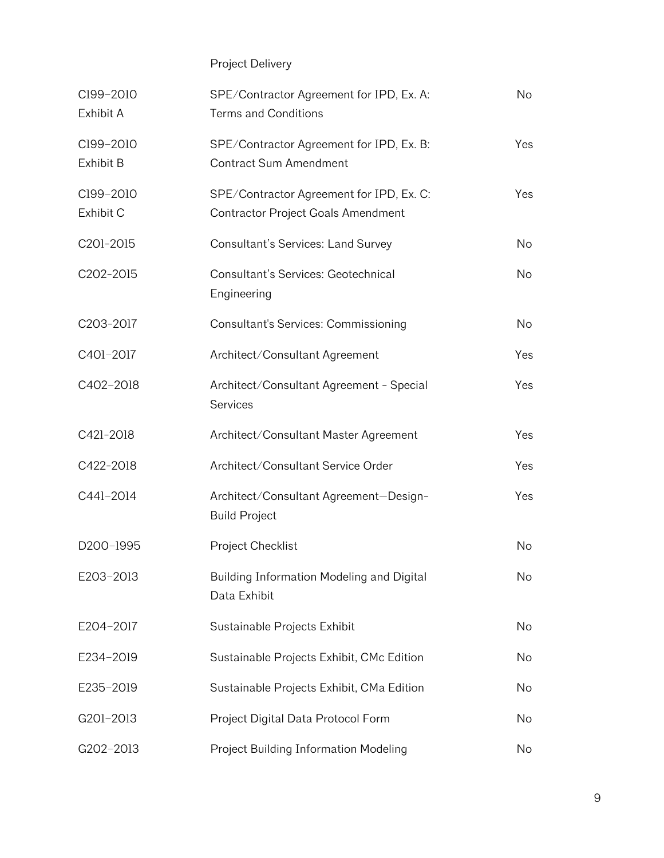Project Delivery

| C199-2010<br>Exhibit A        | SPE/Contractor Agreement for IPD, Ex. A:<br><b>Terms and Conditions</b>        | <b>No</b> |
|-------------------------------|--------------------------------------------------------------------------------|-----------|
| C199-2010<br><b>Exhibit B</b> | SPE/Contractor Agreement for IPD, Ex. B:<br><b>Contract Sum Amendment</b>      | Yes       |
| C199-2010<br>Exhibit C        | SPE/Contractor Agreement for IPD, Ex. C:<br>Contractor Project Goals Amendment | Yes       |
| C201-2015                     | Consultant's Services: Land Survey                                             | <b>No</b> |
| C202-2015                     | Consultant's Services: Geotechnical<br>Engineering                             | <b>No</b> |
| C203-2017                     | Consultant's Services: Commissioning                                           | <b>No</b> |
| C401-2017                     | Architect/Consultant Agreement                                                 | Yes       |
| C402-2018                     | Architect/Consultant Agreement - Special<br><b>Services</b>                    | Yes       |
| C421-2018                     | Architect/Consultant Master Agreement                                          | Yes       |
| C422-2018                     | Architect/Consultant Service Order                                             | Yes       |
| C441-2014                     | Architect/Consultant Agreement-Design-<br><b>Build Project</b>                 | Yes       |
| D200-1995                     | Project Checklist                                                              | <b>No</b> |
| E203-2013                     | Building Information Modeling and Digital<br>Data Exhibit                      | No        |
| E204-2017                     | Sustainable Projects Exhibit                                                   | No        |
| E234-2019                     | Sustainable Projects Exhibit, CMc Edition                                      | No        |
| E235-2019                     | Sustainable Projects Exhibit, CMa Edition                                      | No        |
| G201-2013                     | Project Digital Data Protocol Form                                             | No        |
| G202-2013                     | Project Building Information Modeling                                          | No        |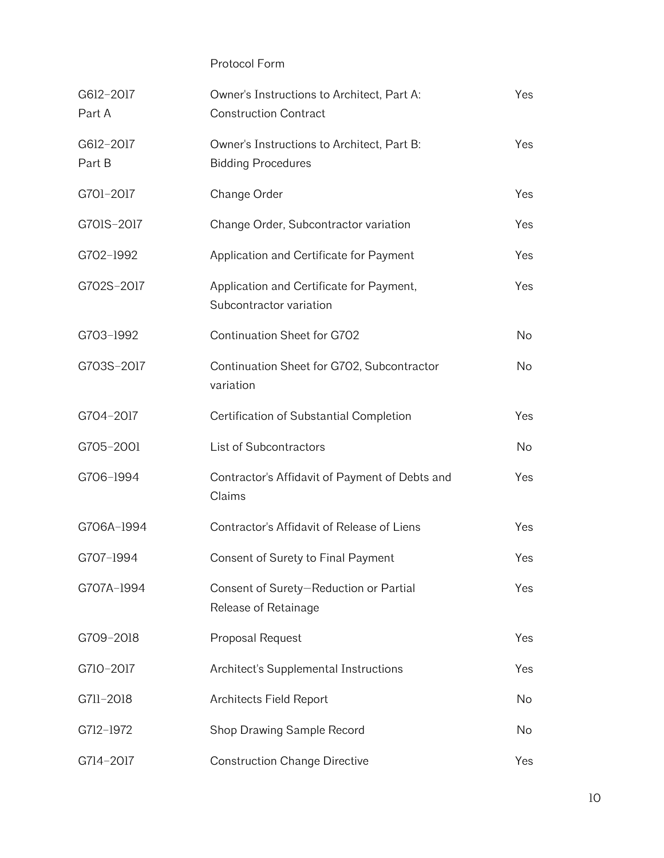## Protocol Form

| G612-2017<br>Part A | Owner's Instructions to Architect, Part A:<br><b>Construction Contract</b> | Yes       |
|---------------------|----------------------------------------------------------------------------|-----------|
| G612-2017<br>Part B | Owner's Instructions to Architect, Part B:<br><b>Bidding Procedures</b>    | Yes       |
| G701-2017           | Change Order                                                               | Yes       |
| G701S-2017          | Change Order, Subcontractor variation                                      | Yes       |
| G702-1992           | Application and Certificate for Payment                                    | Yes       |
| G702S-2017          | Application and Certificate for Payment,<br>Subcontractor variation        | Yes       |
| G703-1992           | Continuation Sheet for G702                                                | No        |
| G703S-2017          | Continuation Sheet for G702, Subcontractor<br>variation                    | <b>No</b> |
| G704-2017           | Certification of Substantial Completion                                    | Yes       |
| G705-2001           | List of Subcontractors                                                     | <b>No</b> |
| G706-1994           | Contractor's Affidavit of Payment of Debts and<br>Claims                   | Yes       |
| G706A-1994          | Contractor's Affidavit of Release of Liens                                 | Yes       |
| G707-1994           | Consent of Surety to Final Payment                                         | Yes       |
| G707A-1994          | Consent of Surety-Reduction or Partial<br>Release of Retainage             | Yes       |
| G709-2018           | Proposal Request                                                           | Yes       |
| G710-2017           | Architect's Supplemental Instructions                                      | Yes       |
| G711-2018           | Architects Field Report                                                    | No        |
| G712-1972           | Shop Drawing Sample Record                                                 | No        |
| G714-2017           | <b>Construction Change Directive</b>                                       | Yes       |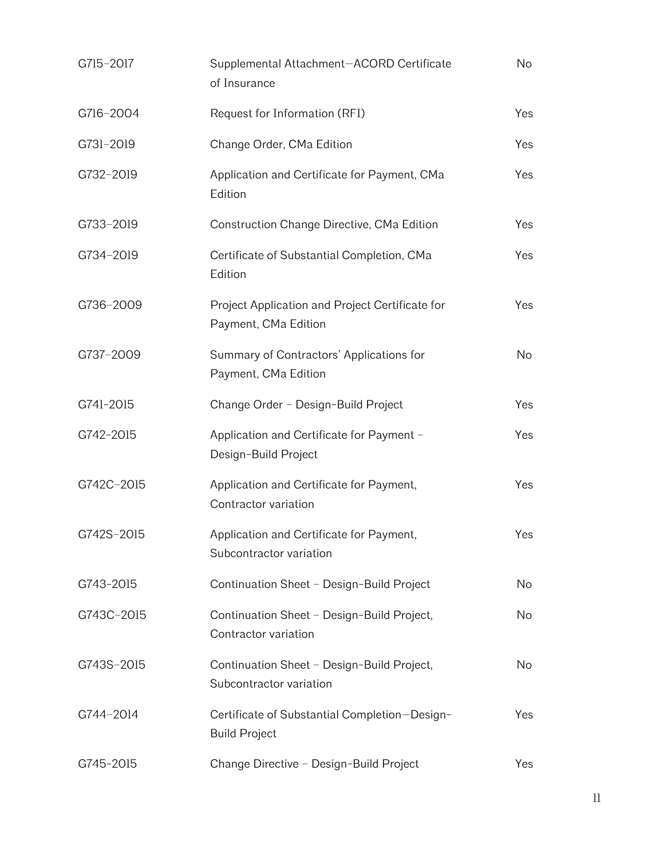| G715-2017  | Supplemental Attachment-ACORD Certificate<br>of Insurance               | No  |
|------------|-------------------------------------------------------------------------|-----|
| G716-2004  | Request for Information (RFI)                                           | Yes |
| G731-2019  | Change Order, CMa Edition                                               | Yes |
| G732-2019  | Application and Certificate for Payment, CMa<br>Edition                 | Yes |
| G733-2019  | Construction Change Directive, CMa Edition                              | Yes |
| G734-2019  | Certificate of Substantial Completion, CMa<br>Edition                   | Yes |
| G736-2009  | Project Application and Project Certificate for<br>Payment, CMa Edition | Yes |
| G737-2009  | Summary of Contractors' Applications for<br>Payment, CMa Edition        | No  |
| G741-2015  | Change Order - Design-Build Project                                     | Yes |
| G742-2015  | Application and Certificate for Payment -<br>Design-Build Project       | Yes |
| G742C-2015 | Application and Certificate for Payment,<br>Contractor variation        | Yes |
| G742S-2015 | Application and Certificate for Payment,<br>Subcontractor variation     | Yes |
| G743-2015  | Continuation Sheet - Design-Build Project                               | No  |
| G743C-2015 | Continuation Sheet - Design-Build Project,<br>Contractor variation      | No  |
| G743S-2015 | Continuation Sheet - Design-Build Project,<br>Subcontractor variation   | No  |
| G744-2014  | Certificate of Substantial Completion-Design-<br><b>Build Project</b>   | Yes |
| G745-2015  | Change Directive - Design-Build Project                                 | Yes |